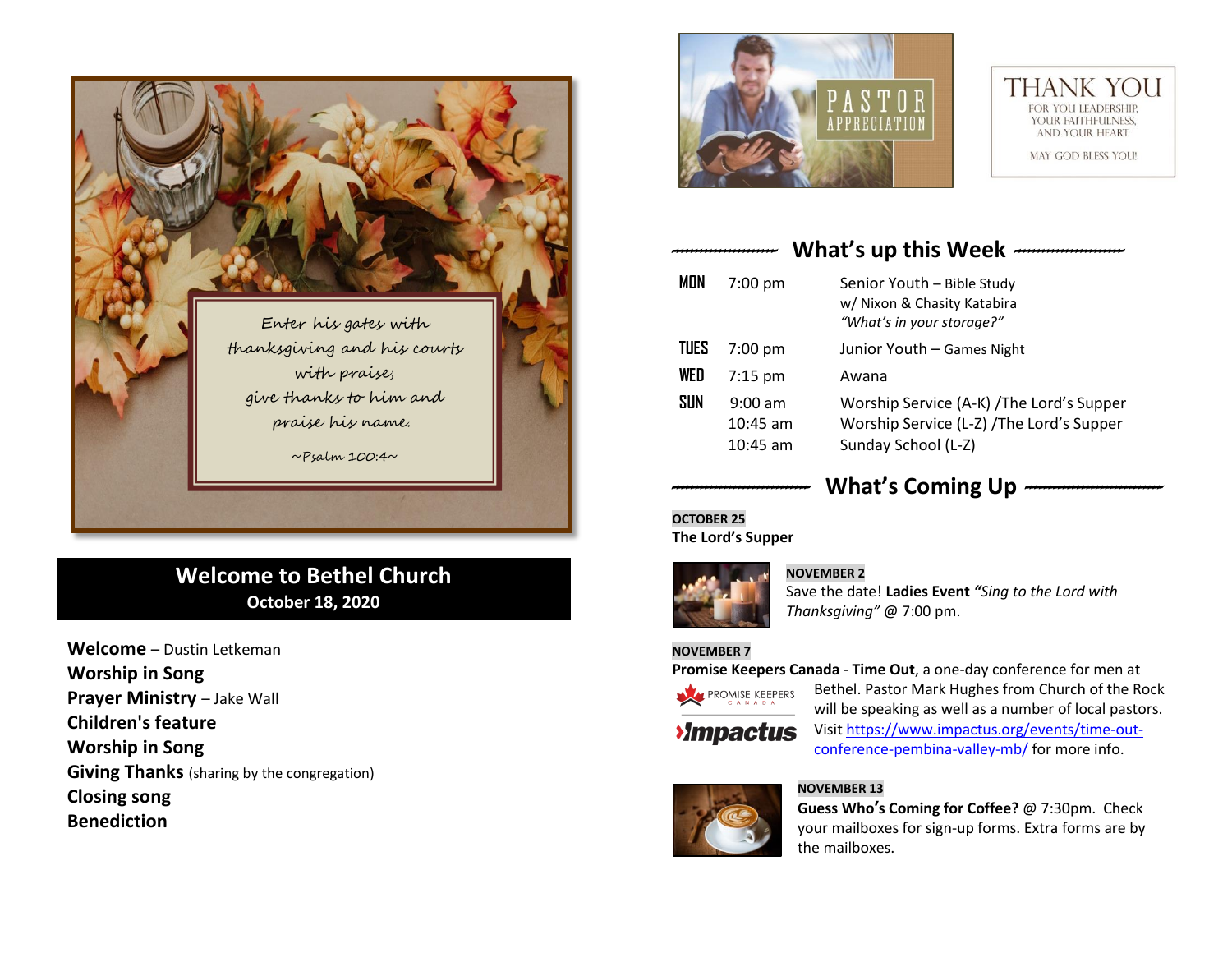

## **Welcome to Bethel Church October 18, 2020**

**Welcome** – Dustin Letkeman **Worship in Song Prayer Ministry** – Jake Wall **Children's feature Worship in Song Giving Thanks** (sharing by the congregation) **Closing song Benediction**





## *----------------------* **What's up this Week** *-----------------------*

| <b>MON</b>  | $7:00$ pm                             | Senior Youth - Bible Study<br>w/ Nixon & Chasity Katabira<br>"What's in your storage?"                        |
|-------------|---------------------------------------|---------------------------------------------------------------------------------------------------------------|
| <b>TUES</b> | $7:00$ pm                             | Junior Youth - Games Night                                                                                    |
| WED         | $7:15$ pm                             | Awana                                                                                                         |
| <b>SUN</b>  | $9:00$ am<br>$10:45$ am<br>$10:45$ am | Worship Service (A-K) / The Lord's Supper<br>Worship Service (L-Z) / The Lord's Supper<br>Sunday School (L-Z) |

# *-----------------------------* **What's Coming Up** *-----------------------------*

 $\overline{a}$ **OCTOBER 25 The Lord's Supper**



### **NOVEMBER 2**

Save the date! **Ladies Event** *"Sing to the Lord with Thanksgiving"* @ 7:00 pm.

### **NOVEMBER 7**

**Promise Keepers Canada** - **Time Out**, a one-day conference for men at



Bethel. Pastor Mark Hughes from Church of the Rock will be speaking as well as a number of local pastors.

**>Impactus** 

Visit [https://www.impactus.org/events/time-out](https://www.impactus.org/events/time-out-conference-pembina-valley-mb/)[conference-pembina-valley-mb/](https://www.impactus.org/events/time-out-conference-pembina-valley-mb/) for more info.



### **NOVEMBER 13**

**Guess Who's Coming for Coffee?** @ 7:30pm. Check your mailboxes for sign-up forms. Extra forms are by the mailboxes.